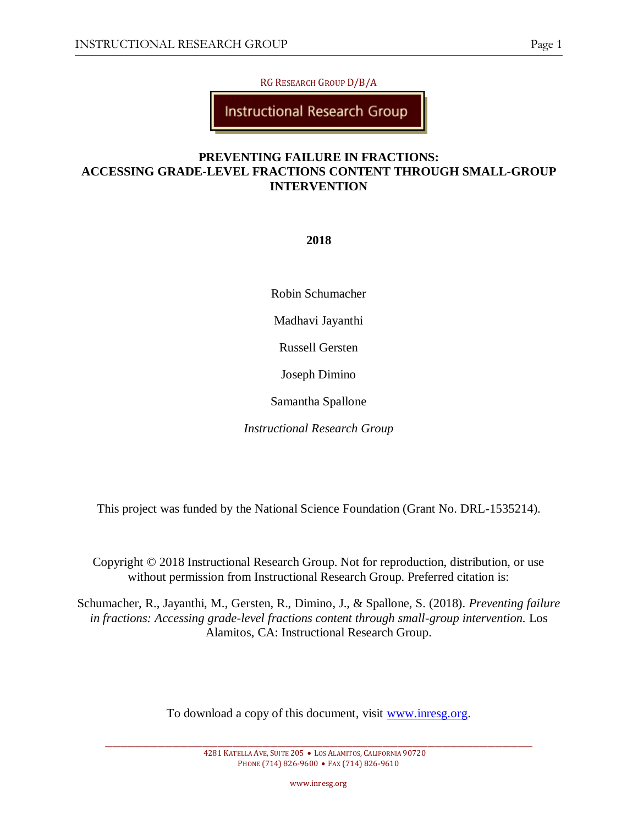RG RESEARCH GROUP D/B/A

**Instructional Research Group** 

# **PREVENTING FAILURE IN FRACTIONS: ACCESSING GRADE-LEVEL FRACTIONS CONTENT THROUGH SMALL-GROUP INTERVENTION**

# **2018**

Robin Schumacher

Madhavi Jayanthi

Russell Gersten

Joseph Dimino

Samantha Spallone

*Instructional Research Group*

This project was funded by the National Science Foundation (Grant No. DRL-1535214).

Copyright © 2018 Instructional Research Group. Not for reproduction, distribution, or use without permission from Instructional Research Group. Preferred citation is:

Schumacher, R., Jayanthi, M., Gersten, R., Dimino, J., & Spallone, S. (2018). *Preventing failure*  in fractions: Accessing grade-level fractions content through small-group intervention. Los Alamitos, CA: Instructional Research Group.

To download a copy of this document, visit [www.inresg.org.](http://www.inresg.org/)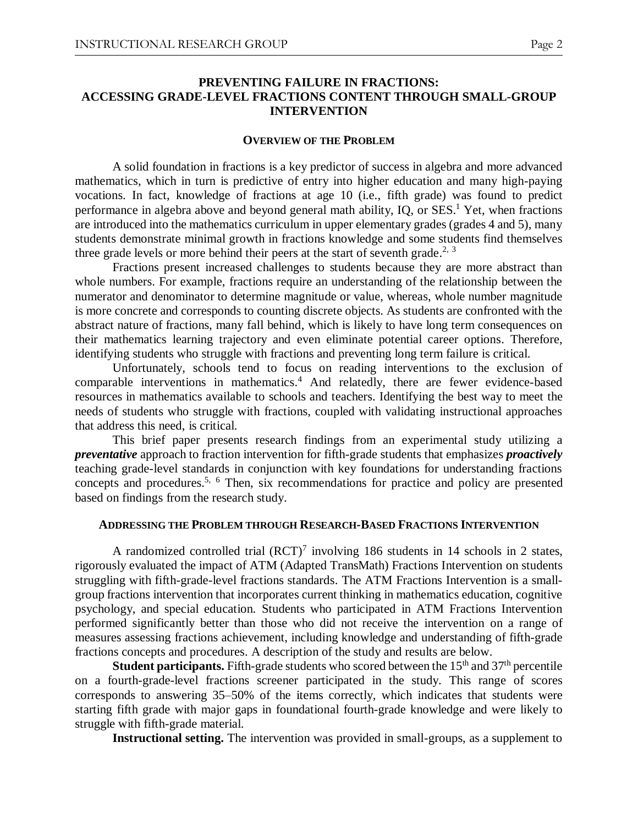#### **PREVENTING FAILURE IN FRACTIONS: ACCESSING GRADE-LEVEL FRACTIONS CONTENT THROUGH SMALL-GROUP INTERVENTION**

#### **OVERVIEW OF THE PROBLEM**

A solid foundation in fractions is a key predictor of success in algebra and more advanced mathematics, which in turn is predictive of entry into higher education and many high-paying vocations. In fact, knowledge of fractions at age 10 (i.e., fifth grade) was found to predict performance in algebra above and beyond general math ability, IQ, or SES.<sup>1</sup> Yet, when fractions are introduced into the mathematics curriculum in upper elementary grades (grades 4 and 5), many students demonstrate minimal growth in fractions knowledge and some students find themselves three grade levels or more behind their peers at the start of seventh grade.<sup>2, 3</sup>

Fractions present increased challenges to students because they are more abstract than whole numbers. For example, fractions require an understanding of the relationship between the numerator and denominator to determine magnitude or value, whereas, whole number magnitude is more concrete and corresponds to counting discrete objects. As students are confronted with the abstract nature of fractions, many fall behind, which is likely to have long term consequences on their mathematics learning trajectory and even eliminate potential career options. Therefore, identifying students who struggle with fractions and preventing long term failure is critical.

Unfortunately, schools tend to focus on reading interventions to the exclusion of comparable interventions in mathematics. <sup>4</sup> And relatedly, there are fewer evidence-based resources in mathematics available to schools and teachers. Identifying the best way to meet the needs of students who struggle with fractions, coupled with validating instructional approaches that address this need, is critical.

This brief paper presents research findings from an experimental study utilizing a *preventative* approach to fraction intervention for fifth-grade students that emphasizes *proactively* teaching grade-level standards in conjunction with key foundations for understanding fractions concepts and procedures.<sup>5, 6</sup> Then, six recommendations for practice and policy are presented based on findings from the research study.

#### **ADDRESSING THE PROBLEM THROUGH RESEARCH-BASED FRACTIONS INTERVENTION**

A randomized controlled trial  $(RCT)^7$  involving 186 students in 14 schools in 2 states, rigorously evaluated the impact of ATM (Adapted TransMath) Fractions Intervention on students struggling with fifth-grade-level fractions standards. The ATM Fractions Intervention is a smallgroup fractions intervention that incorporates current thinking in mathematics education, cognitive psychology, and special education. Students who participated in ATM Fractions Intervention performed significantly better than those who did not receive the intervention on a range of measures assessing fractions achievement, including knowledge and understanding of fifth-grade fractions concepts and procedures. A description of the study and results are below.

**Student participants.** Fifth-grade students who scored between the  $15<sup>th</sup>$  and  $37<sup>th</sup>$  percentile on a fourth-grade-level fractions screener participated in the study. This range of scores corresponds to answering 35–50% of the items correctly, which indicates that students were starting fifth grade with major gaps in foundational fourth-grade knowledge and were likely to struggle with fifth-grade material.

**Instructional setting.** The intervention was provided in small-groups, as a supplement to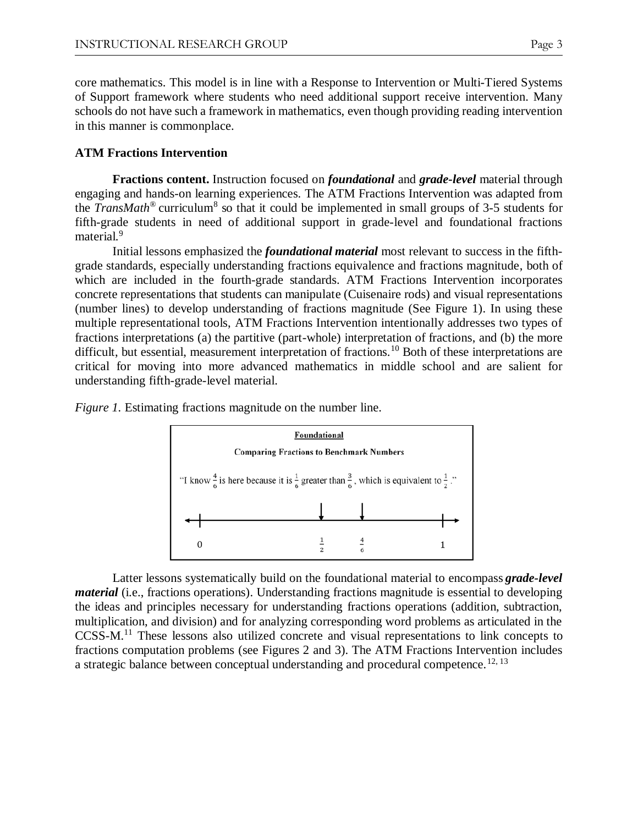core mathematics. This model is in line with a Response to Intervention or Multi-Tiered Systems of Support framework where students who need additional support receive intervention. Many schools do not have such a framework in mathematics, even though providing reading intervention in this manner is commonplace.

## **ATM Fractions Intervention**

**Fractions content.** Instruction focused on *foundational* and *grade-level* material through engaging and hands-on learning experiences. The ATM Fractions Intervention was adapted from the *TransMath*<sup>®</sup> curriculum<sup>8</sup> so that it could be implemented in small groups of 3-5 students for fifth-grade students in need of additional support in grade-level and foundational fractions material.<sup>9</sup>

Initial lessons emphasized the *foundational material* most relevant to success in the fifthgrade standards, especially understanding fractions equivalence and fractions magnitude, both of which are included in the fourth-grade standards. ATM Fractions Intervention incorporates concrete representations that students can manipulate (Cuisenaire rods) and visual representations (number lines) to develop understanding of fractions magnitude (See Figure 1). In using these multiple representational tools, ATM Fractions Intervention intentionally addresses two types of fractions interpretations (a) the partitive (part-whole) interpretation of fractions, and (b) the more difficult, but essential, measurement interpretation of fractions.<sup>10</sup> Both of these interpretations are critical for moving into more advanced mathematics in middle school and are salient for understanding fifth-grade-level material.



*Figure 1.* Estimating fractions magnitude on the number line.

Latter lessons systematically build on the foundational material to encompass *grade-level material* (i.e., fractions operations). Understanding fractions magnitude is essential to developing the ideas and principles necessary for understanding fractions operations (addition, subtraction, multiplication, and division) and for analyzing corresponding word problems as articulated in the CCSS-M.<sup>11</sup> These lessons also utilized concrete and visual representations to link concepts to fractions computation problems (see Figures 2 and 3). The ATM Fractions Intervention includes a strategic balance between conceptual understanding and procedural competence.<sup>12, 13</sup>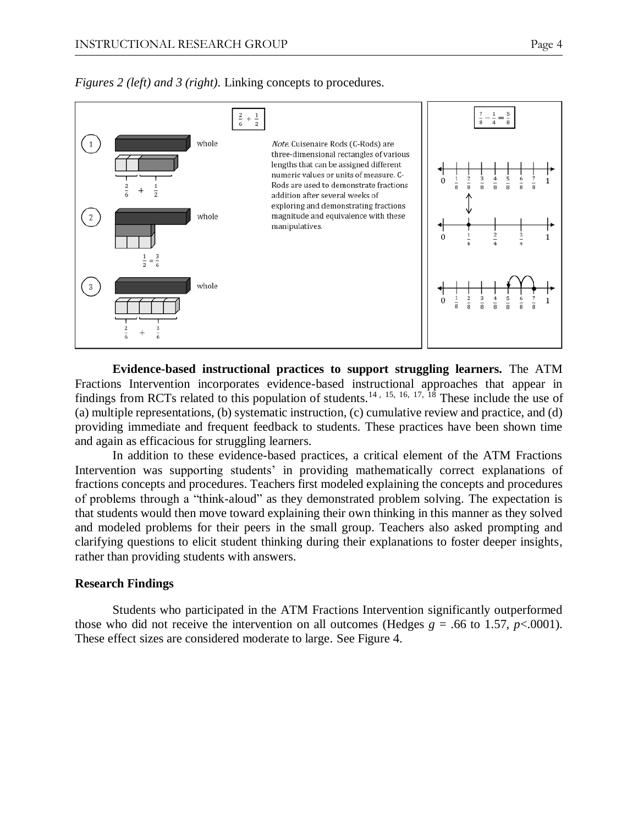



**Evidence-based instructional practices to support struggling learners***.* The ATM Fractions Intervention incorporates evidence-based instructional approaches that appear in findings from RCTs related to this population of students.<sup>14, 15, 16, 17, 18</sup> These include the use of (a) multiple representations, (b) systematic instruction, (c) cumulative review and practice, and (d) providing immediate and frequent feedback to students. These practices have been shown time and again as efficacious for struggling learners.

In addition to these evidence-based practices, a critical element of the ATM Fractions Intervention was supporting students' in providing mathematically correct explanations of fractions concepts and procedures. Teachers first modeled explaining the concepts and procedures of problems through a "think-aloud" as they demonstrated problem solving. The expectation is that students would then move toward explaining their own thinking in this manner as they solved and modeled problems for their peers in the small group. Teachers also asked prompting and clarifying questions to elicit student thinking during their explanations to foster deeper insights, rather than providing students with answers.

#### **Research Findings**

Students who participated in the ATM Fractions Intervention significantly outperformed those who did not receive the intervention on all outcomes (Hedges  $g = .66$  to 1.57,  $p < .0001$ ). These effect sizes are considered moderate to large. See Figure 4.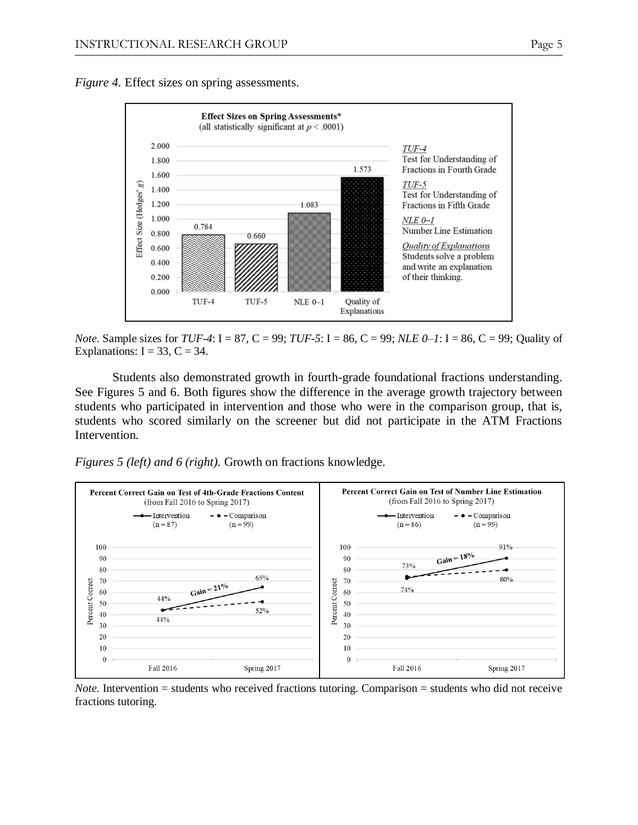*Figure 4.* Effect sizes on spring assessments.



*Note*. Sample sizes for *TUF-4*: I = 87, C = 99; *TUF-5*: I = 86, C = 99; *NLE 0–1*: I = 86, C = 99; Quality of Explanations:  $I = 33$ ,  $C = 34$ .

Students also demonstrated growth in fourth-grade foundational fractions understanding. See Figures 5 and 6. Both figures show the difference in the average growth trajectory between students who participated in intervention and those who were in the comparison group, that is, students who scored similarly on the screener but did not participate in the ATM Fractions Intervention.

*Figures 5 (left) and 6 (right).* Growth on fractions knowledge.



*Note.* Intervention = students who received fractions tutoring. Comparison = students who did not receive fractions tutoring.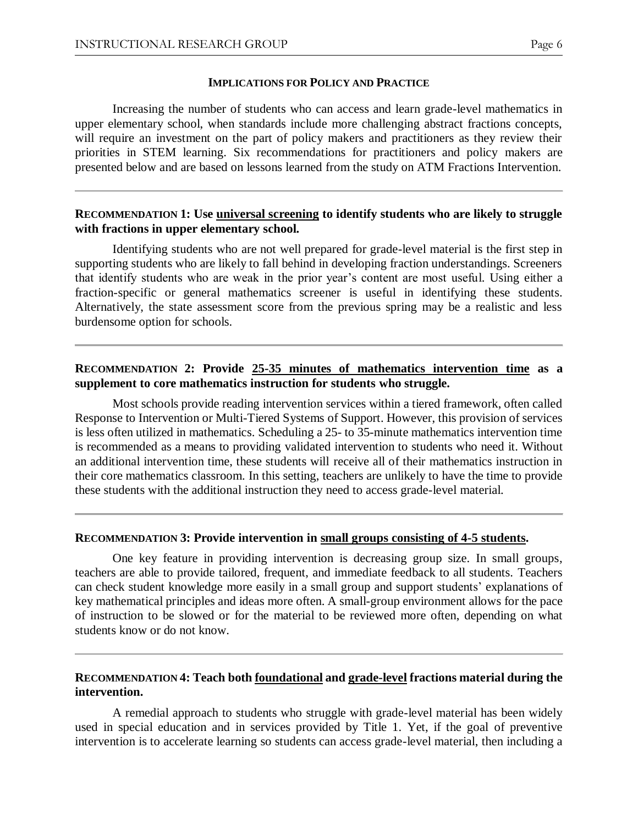#### **IMPLICATIONS FOR POLICY AND PRACTICE**

Increasing the number of students who can access and learn grade-level mathematics in upper elementary school, when standards include more challenging abstract fractions concepts, will require an investment on the part of policy makers and practitioners as they review their priorities in STEM learning. Six recommendations for practitioners and policy makers are presented below and are based on lessons learned from the study on ATM Fractions Intervention.

## **RECOMMENDATION 1: Use universal screening to identify students who are likely to struggle with fractions in upper elementary school.**

Identifying students who are not well prepared for grade-level material is the first step in supporting students who are likely to fall behind in developing fraction understandings. Screeners that identify students who are weak in the prior year's content are most useful. Using either a fraction-specific or general mathematics screener is useful in identifying these students. Alternatively, the state assessment score from the previous spring may be a realistic and less burdensome option for schools.

## **RECOMMENDATION 2: Provide 25-35 minutes of mathematics intervention time as a supplement to core mathematics instruction for students who struggle.**

Most schools provide reading intervention services within a tiered framework, often called Response to Intervention or Multi-Tiered Systems of Support. However, this provision of services is less often utilized in mathematics. Scheduling a 25- to 35-minute mathematics intervention time is recommended as a means to providing validated intervention to students who need it. Without an additional intervention time, these students will receive all of their mathematics instruction in their core mathematics classroom. In this setting, teachers are unlikely to have the time to provide these students with the additional instruction they need to access grade-level material.

#### **RECOMMENDATION 3: Provide intervention in small groups consisting of 4-5 students.**

One key feature in providing intervention is decreasing group size. In small groups, teachers are able to provide tailored, frequent, and immediate feedback to all students. Teachers can check student knowledge more easily in a small group and support students' explanations of key mathematical principles and ideas more often. A small-group environment allows for the pace of instruction to be slowed or for the material to be reviewed more often, depending on what students know or do not know.

## **RECOMMENDATION 4: Teach both foundational and grade-level fractions material during the intervention.**

A remedial approach to students who struggle with grade-level material has been widely used in special education and in services provided by Title 1. Yet, if the goal of preventive intervention is to accelerate learning so students can access grade-level material, then including a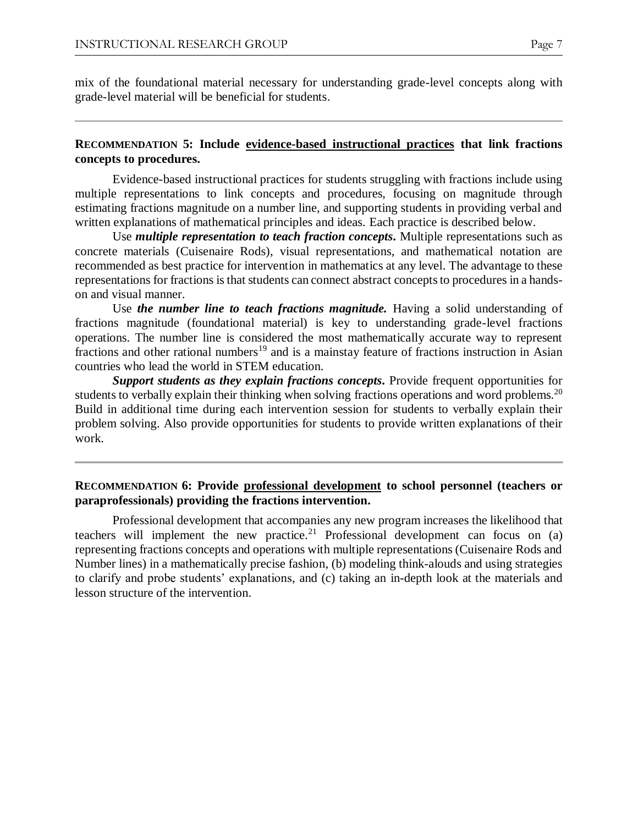mix of the foundational material necessary for understanding grade-level concepts along with grade-level material will be beneficial for students.

## **RECOMMENDATION 5: Include evidence-based instructional practices that link fractions concepts to procedures.**

Evidence-based instructional practices for students struggling with fractions include using multiple representations to link concepts and procedures, focusing on magnitude through estimating fractions magnitude on a number line, and supporting students in providing verbal and written explanations of mathematical principles and ideas. Each practice is described below.

Use *multiple representation to teach fraction concepts***.** Multiple representations such as concrete materials (Cuisenaire Rods), visual representations, and mathematical notation are recommended as best practice for intervention in mathematics at any level. The advantage to these representations for fractions is that students can connect abstract concepts to procedures in a handson and visual manner.

Use *the number line to teach fractions magnitude*. Having a solid understanding of fractions magnitude (foundational material) is key to understanding grade-level fractions operations. The number line is considered the most mathematically accurate way to represent fractions and other rational numbers<sup>19</sup> and is a mainstay feature of fractions instruction in Asian countries who lead the world in STEM education.

*Support students as they explain fractions concepts***.** Provide frequent opportunities for students to verbally explain their thinking when solving fractions operations and word problems.<sup>20</sup> Build in additional time during each intervention session for students to verbally explain their problem solving. Also provide opportunities for students to provide written explanations of their work.

## **RECOMMENDATION 6: Provide professional development to school personnel (teachers or paraprofessionals) providing the fractions intervention.**

Professional development that accompanies any new program increases the likelihood that teachers will implement the new practice.<sup>21</sup> Professional development can focus on (a) representing fractions concepts and operations with multiple representations (Cuisenaire Rods and Number lines) in a mathematically precise fashion, (b) modeling think-alouds and using strategies to clarify and probe students' explanations, and (c) taking an in-depth look at the materials and lesson structure of the intervention.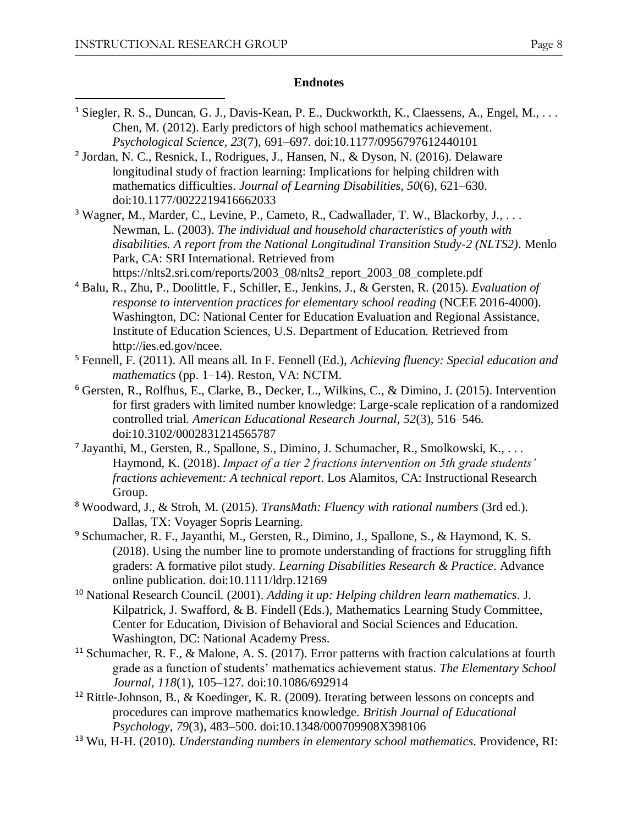$\overline{a}$ 

#### **Endnotes**

- <sup>1</sup> Siegler, R. S., Duncan, G. J., Davis-Kean, P. E., Duckworkth, K., Claessens, A., Engel, M., ... Chen, M. (2012). Early predictors of high school mathematics achievement. *Psychological Science, 23*(7), 691–697. doi:10.1177/0956797612440101
- 2 Jordan, N. C., Resnick, I., Rodrigues, J., Hansen, N., & Dyson, N. (2016). Delaware longitudinal study of fraction learning: Implications for helping children with mathematics difficulties. *Journal of Learning Disabilities, 50*(6), 621–630. doi:10.1177/0022219416662033
- <sup>3</sup> Wagner, M., Marder, C., Levine, P., Cameto, R., Cadwallader, T. W., Blackorby, J., . . . Newman, L. (2003). *The individual and household characteristics of youth with disabilities. A report from the National Longitudinal Transition Study-2 (NLTS2)*. Menlo Park, CA: SRI International. Retrieved from https://nlts2.sri.com/reports/2003\_08/nlts2\_report\_2003\_08\_complete.pdf
- <sup>4</sup> Balu, R., Zhu, P., Doolittle, F., Schiller, E., Jenkins, J., & Gersten, R. (2015). *Evaluation of response to intervention practices for elementary school reading (NCEE 2016-4000).* Washington, DC: National Center for Education Evaluation and Regional Assistance, Institute of Education Sciences, U.S. Department of Education. Retrieved from http://ies.ed.gov/ncee.
- <sup>5</sup> Fennell, F. (2011). All means all. In F. Fennell (Ed.), *Achieving fluency: Special education and mathematics* (pp. 1–14). Reston, VA: NCTM.
- <sup>6</sup> Gersten, R., Rolfhus, E., Clarke, B., Decker, L., Wilkins, C., & Dimino, J. (2015). Intervention for first graders with limited number knowledge: Large-scale replication of a randomized controlled trial. *American Educational Research Journal, 52*(3), 516–546. doi:10.3102/0002831214565787
- <sup>7</sup> Jayanthi, M., Gersten, R., Spallone, S., Dimino, J. Schumacher, R., Smolkowski, K., ... Haymond, K. (2018). *Impact of a tier 2 fractions intervention on 5th grade students' fractions achievement: A technical report*. Los Alamitos, CA: Instructional Research Group.
- <sup>8</sup> Woodward, J., & Stroh, M. (2015). *TransMath: Fluency with rational numbers* (3rd ed.). Dallas, TX: Voyager Sopris Learning.
- <sup>9</sup> Schumacher, R. F., Jayanthi, M., Gersten, R., Dimino, J., Spallone, S., & Haymond, K. S. (2018). Using the number line to promote understanding of fractions for struggling fifth graders: A formative pilot study. *Learning Disabilities Research & Practice*. Advance online publication. doi:10.1111/ldrp.12169
- <sup>10</sup> National Research Council. (2001). *Adding it up: Helping children learn mathematics*. J. Kilpatrick, J. Swafford, & B. Findell (Eds.), Mathematics Learning Study Committee, Center for Education, Division of Behavioral and Social Sciences and Education. Washington, DC: National Academy Press.
- <sup>11</sup> Schumacher, R. F., & Malone, A. S. (2017). Error patterns with fraction calculations at fourth grade as a function of students' mathematics achievement status. *The Elementary School Journal, 118*(1), 105–127. doi:10.1086/692914
- <sup>12</sup> Rittle‐Johnson, B., & Koedinger, K. R. (2009). Iterating between lessons on concepts and procedures can improve mathematics knowledge. *British Journal of Educational Psychology*, *79*(3), 483–500. doi:10.1348/000709908X398106
- <sup>13</sup> Wu, H-H. (2010). *Understanding numbers in elementary school mathematics*. Providence, RI: